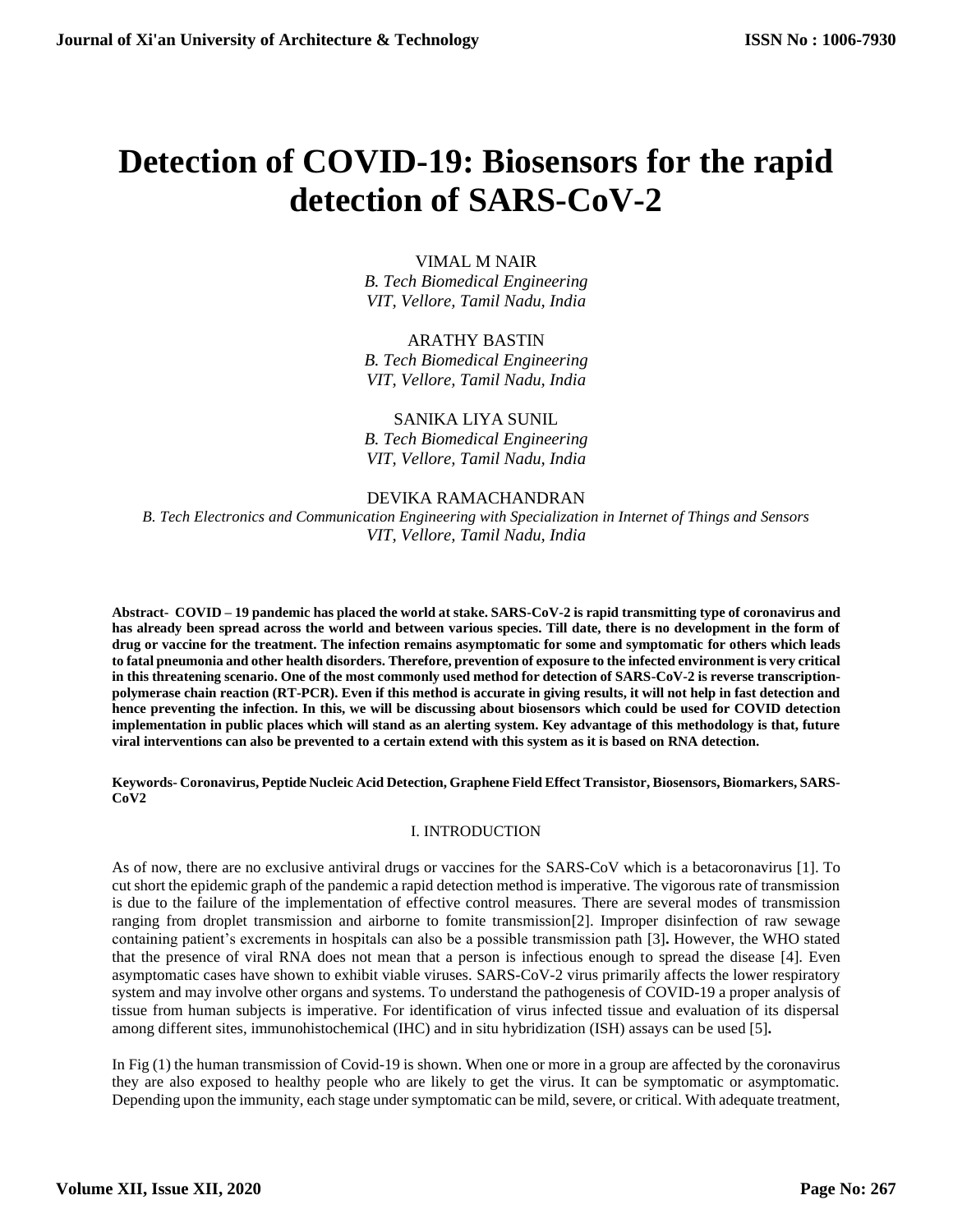# **Detection of COVID-19: Biosensors for the rapid detection of SARS-CoV-2**

# VIMAL M NAIR

*B. Tech Biomedical Engineering VIT, Vellore, Tamil Nadu, India*

# ARATHY BASTIN

*B. Tech Biomedical Engineering VIT, Vellore, Tamil Nadu, India*

# SANIKA LIYA SUNIL

*B. Tech Biomedical Engineering VIT, Vellore, Tamil Nadu, India*

# DEVIKA RAMACHANDRAN *B. Tech Electronics and Communication Engineering with Specialization in Internet of Things and Sensors VIT, Vellore, Tamil Nadu, India*

**Abstract- COVID – 19 pandemic has placed the world at stake. SARS-CoV-2 is rapid transmitting type of coronavirus and has already been spread across the world and between various species. Till date, there is no development in the form of drug or vaccine for the treatment. The infection remains asymptomatic for some and symptomatic for others which leads to fatal pneumonia and other health disorders. Therefore, prevention of exposure to the infected environment is very critical in this threatening scenario. One of the most commonly used method for detection of SARS-CoV-2 is reverse transcriptionpolymerase chain reaction (RT-PCR). Even if this method is accurate in giving results, it will not help in fast detection and hence preventing the infection. In this, we will be discussing about biosensors which could be used for COVID detection implementation in public places which will stand as an alerting system. Key advantage of this methodology is that, future viral interventions can also be prevented to a certain extend with this system as it is based on RNA detection.**

## **Keywords- Coronavirus, Peptide Nucleic Acid Detection, Graphene Field Effect Transistor, Biosensors, Biomarkers, SARS-CoV2**

# I. INTRODUCTION

As of now, there are no exclusive antiviral drugs or vaccines for the SARS-CoV which is a betacoronavirus [1]. To cut short the epidemic graph of the pandemic a rapid detection method is imperative. The vigorous rate of transmission is due to the failure of the implementation of effective control measures. There are several modes of transmission ranging from droplet transmission and airborne to fomite transmission[2]. Improper disinfection of raw sewage containing patient's excrements in hospitals can also be a possible transmission path [3]**.** However, the WHO stated that the presence of viral RNA does not mean that a person is infectious enough to spread the disease [4]. Even asymptomatic cases have shown to exhibit viable viruses. SARS-CoV-2 virus primarily affects the lower respiratory system and may involve other organs and systems. To understand the pathogenesis of COVID-19 a proper analysis of tissue from human subjects is imperative. For identification of virus infected tissue and evaluation of its dispersal among different sites, immunohistochemical (IHC) and in situ hybridization (ISH) assays can be used [5]**.**

In Fig (1) the human transmission of Covid-19 is shown. When one or more in a group are affected by the coronavirus they are also exposed to healthy people who are likely to get the virus. It can be symptomatic or asymptomatic. Depending upon the immunity, each stage under symptomatic can be mild, severe, or critical. With adequate treatment,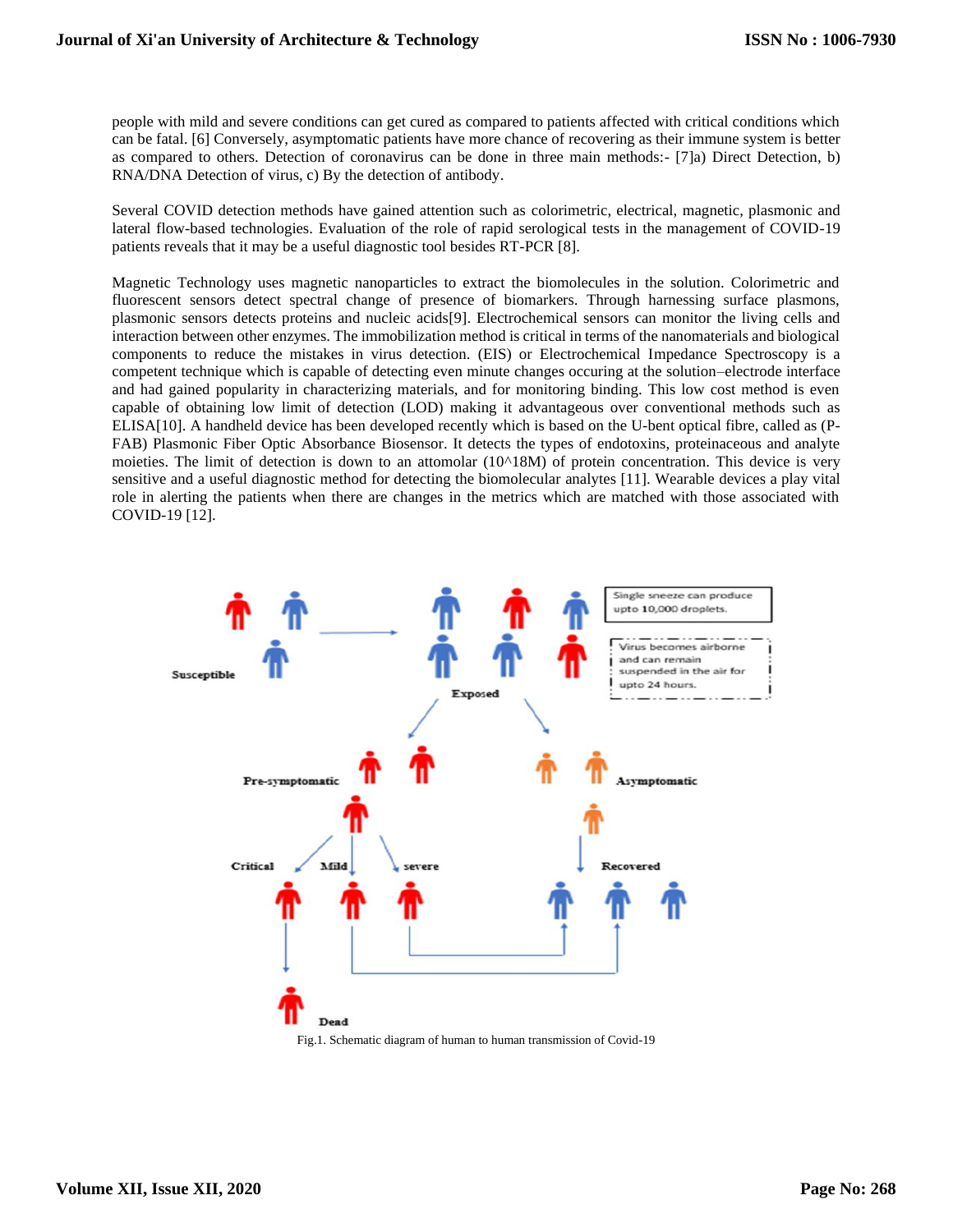people with mild and severe conditions can get cured as compared to patients affected with critical conditions which can be fatal. [6] Conversely, asymptomatic patients have more chance of recovering as their immune system is better as compared to others. Detection of coronavirus can be done in three main methods:- [7]a) Direct Detection, b) RNA/DNA Detection of virus, c) By the detection of antibody.

Several COVID detection methods have gained attention such as colorimetric, electrical, magnetic, plasmonic and lateral flow-based technologies. Evaluation of the role of rapid serological tests in the management of COVID-19 patients reveals that it may be a useful diagnostic tool besides RT-PCR [8].

Magnetic Technology uses magnetic nanoparticles to extract the biomolecules in the solution. Colorimetric and fluorescent sensors detect spectral change of presence of biomarkers. Through harnessing surface plasmons, plasmonic sensors detects proteins and nucleic acids[9]. Electrochemical sensors can monitor the living cells and interaction between other enzymes. The immobilization method is critical in terms of the nanomaterials and biological components to reduce the mistakes in virus detection. (EIS) or Electrochemical Impedance Spectroscopy is a competent technique which is capable of detecting even minute changes occuring at the solution–electrode interface and had gained popularity in characterizing materials, and for monitoring binding. This low cost method is even capable of obtaining low limit of detection (LOD) making it advantageous over conventional methods such as ELISA[10]. A handheld device has been developed recently which is based on the U-bent optical fibre, called as (P-FAB) Plasmonic Fiber Optic Absorbance Biosensor. It detects the types of endotoxins, proteinaceous and analyte moieties. The limit of detection is down to an attomolar (10^18M) of protein concentration. This device is very sensitive and a useful diagnostic method for detecting the biomolecular analytes [11]. Wearable devices a play vital role in alerting the patients when there are changes in the metrics which are matched with those associated with COVID-19 [12].



Fig.1. Schematic diagram of human to human transmission of Covid-19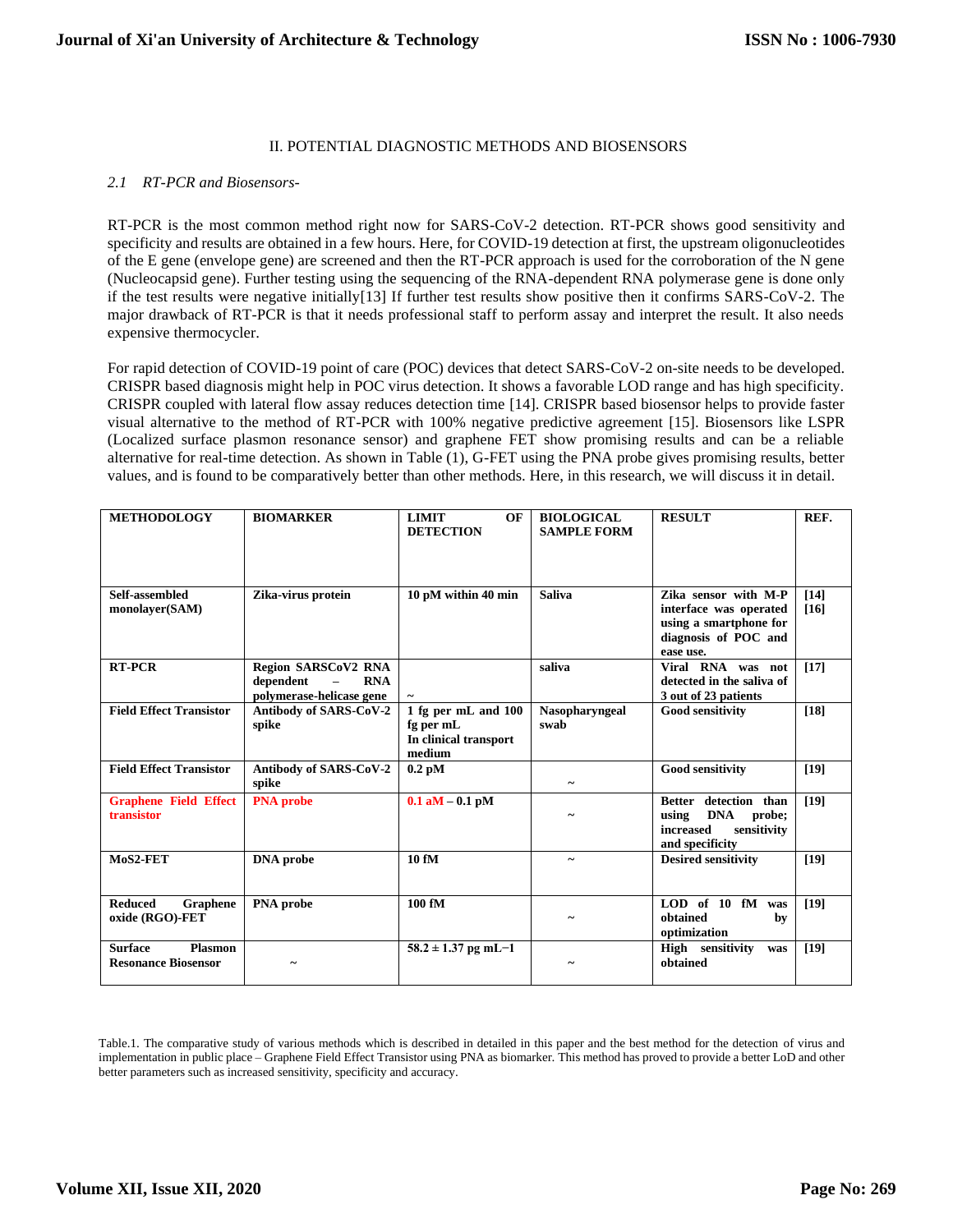#### II. POTENTIAL DIAGNOSTIC METHODS AND BIOSENSORS

#### *2.1 RT-PCR and Biosensors-*

RT-PCR is the most common method right now for SARS-CoV-2 detection. RT-PCR shows good sensitivity and specificity and results are obtained in a few hours. Here, for COVID-19 detection at first, the upstream oligonucleotides of the E gene (envelope gene) are screened and then the RT-PCR approach is used for the corroboration of the N gene (Nucleocapsid gene). Further testing using the sequencing of the RNA-dependent RNA polymerase gene is done only if the test results were negative initially[13] If further test results show positive then it confirms SARS-CoV-2. The major drawback of RT-PCR is that it needs professional staff to perform assay and interpret the result. It also needs expensive thermocycler.

For rapid detection of COVID-19 point of care (POC) devices that detect SARS-CoV-2 on-site needs to be developed. CRISPR based diagnosis might help in POC virus detection. It shows a favorable LOD range and has high specificity. CRISPR coupled with lateral flow assay reduces detection time [14]. CRISPR based biosensor helps to provide faster visual alternative to the method of RT-PCR with 100% negative predictive agreement [15]. Biosensors like LSPR (Localized surface plasmon resonance sensor) and graphene FET show promising results and can be a reliable alternative for real-time detection. As shown in Table (1), G-FET using the PNA probe gives promising results, better values, and is found to be comparatively better than other methods. Here, in this research, we will discuss it in detail.

| <b>METHODOLOGY</b>                                             | <b>BIOMARKER</b>                                                                              | <b>LIMIT</b><br>OF<br><b>DETECTION</b>                              | <b>BIOLOGICAL</b><br><b>SAMPLE FORM</b> | <b>RESULT</b>                                                                                                 | REF.           |
|----------------------------------------------------------------|-----------------------------------------------------------------------------------------------|---------------------------------------------------------------------|-----------------------------------------|---------------------------------------------------------------------------------------------------------------|----------------|
| Self-assembled<br>monolayer(SAM)                               | Zika-virus protein                                                                            | 10 pM within 40 min                                                 | <b>Saliva</b>                           | Zika sensor with M-P<br>interface was operated<br>using a smartphone for<br>diagnosis of POC and<br>ease use. | $[14]$<br>[16] |
| <b>RT-PCR</b>                                                  | <b>Region SARSCoV2 RNA</b><br>dependent<br><b>RNA</b><br>$\equiv$<br>polymerase-helicase gene |                                                                     | saliva                                  | Viral RNA was not<br>detected in the saliva of<br>3 out of 23 patients                                        | $[17]$         |
| <b>Field Effect Transistor</b>                                 | Antibody of SARS-CoV-2<br>spike                                                               | 1 fg per mL and 100<br>fg per mL<br>In clinical transport<br>medium | <b>Nasopharvngeal</b><br>swab           | <b>Good sensitivity</b>                                                                                       | $[18]$         |
| <b>Field Effect Transistor</b>                                 | Antibody of SARS-CoV-2<br>spike                                                               | $0.2$ pM                                                            | $\tilde{\phantom{a}}$                   | <b>Good sensitivity</b>                                                                                       | [19]           |
| <b>Graphene Field Effect</b><br>transistor                     | <b>PNA</b> probe                                                                              | $0.1$ aM $-$ 0.1 pM                                                 |                                         | Better detection than<br><b>DNA</b><br>using<br>probe;<br>increased<br>sensitivity<br>and specificity         | $[19]$         |
| MoS2-FET                                                       | <b>DNA</b> probe                                                                              | 10 fM                                                               |                                         | <b>Desired sensitivity</b>                                                                                    | [19]           |
| <b>Reduced</b><br>Graphene<br>oxide (RGO)-FET                  | PNA probe                                                                                     | 100 fM                                                              |                                         | $LOD$ of 10 $fM$<br>was<br>obtained<br>by<br>optimization                                                     | [19]           |
| <b>Surface</b><br><b>Plasmon</b><br><b>Resonance Biosensor</b> |                                                                                               | $58.2 \pm 1.37$ pg mL-1                                             |                                         | High sensitivity<br>was<br>obtained                                                                           | [19]           |

Table.1. The comparative study of various methods which is described in detailed in this paper and the best method for the detection of virus and implementation in public place – Graphene Field Effect Transistor using PNA as biomarker. This method has proved to provide a better LoD and other better parameters such as increased sensitivity, specificity and accuracy.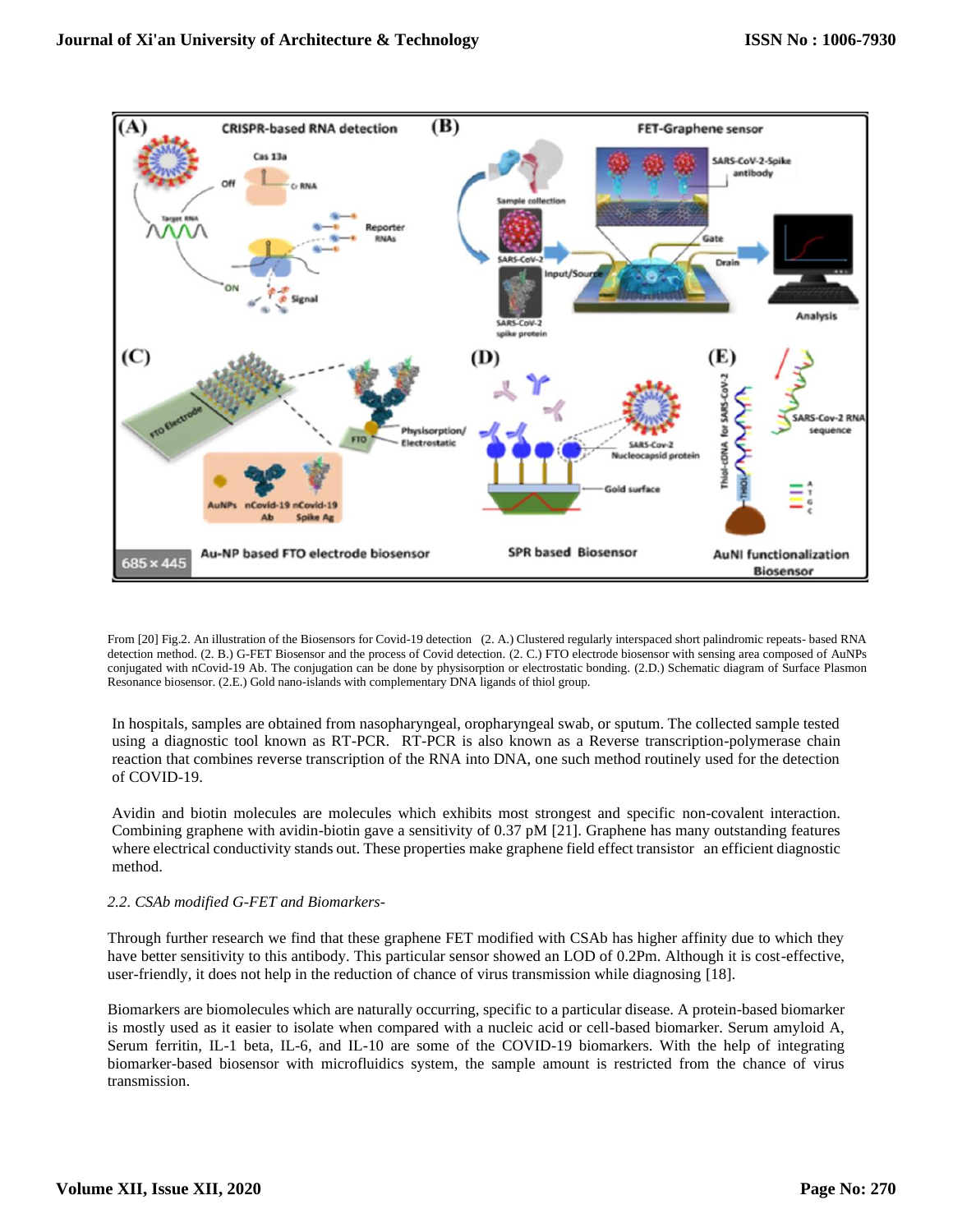

From [20] Fig.2. An illustration of the Biosensors for Covid-19 detection (2. A.) Clustered regularly interspaced short palindromic repeats- based RNA detection method. (2. B.) G-FET Biosensor and the process of Covid detection. (2. C.) FTO electrode biosensor with sensing area composed of AuNPs conjugated with nCovid-19 Ab. The conjugation can be done by physisorption or electrostatic bonding. (2.D.) Schematic diagram of Surface Plasmon Resonance biosensor. (2.E.) Gold nano-islands with complementary DNA ligands of thiol group.

In hospitals, samples are obtained from nasopharyngeal, oropharyngeal swab, or sputum. The collected sample tested using a diagnostic tool known as RT-PCR. RT-PCR is also known as a Reverse transcription-polymerase chain reaction that combines reverse transcription of the RNA into DNA, one such method routinely used for the detection of COVID-19.

Avidin and biotin molecules are molecules which exhibits most strongest and specific non-covalent interaction. Combining graphene with avidin-biotin gave a sensitivity of 0.37 pM [21]. Graphene has many outstanding features where electrical conductivity stands out. These properties make graphene field effect transistor an efficient diagnostic method.

# *2.2. CSAb modified G-FET and Biomarkers-*

Through further research we find that these graphene FET modified with CSAb has higher affinity due to which they have better sensitivity to this antibody. This particular sensor showed an LOD of 0.2Pm. Although it is cost-effective, user-friendly, it does not help in the reduction of chance of virus transmission while diagnosing [18].

Biomarkers are biomolecules which are naturally occurring, specific to a particular disease. A protein-based biomarker is mostly used as it easier to isolate when compared with a nucleic acid or cell-based biomarker. Serum amyloid A, Serum ferritin, IL-1 beta, IL-6, and IL-10 are some of the COVID-19 biomarkers. With the help of integrating biomarker-based biosensor with microfluidics system, the sample amount is restricted from the chance of virus transmission.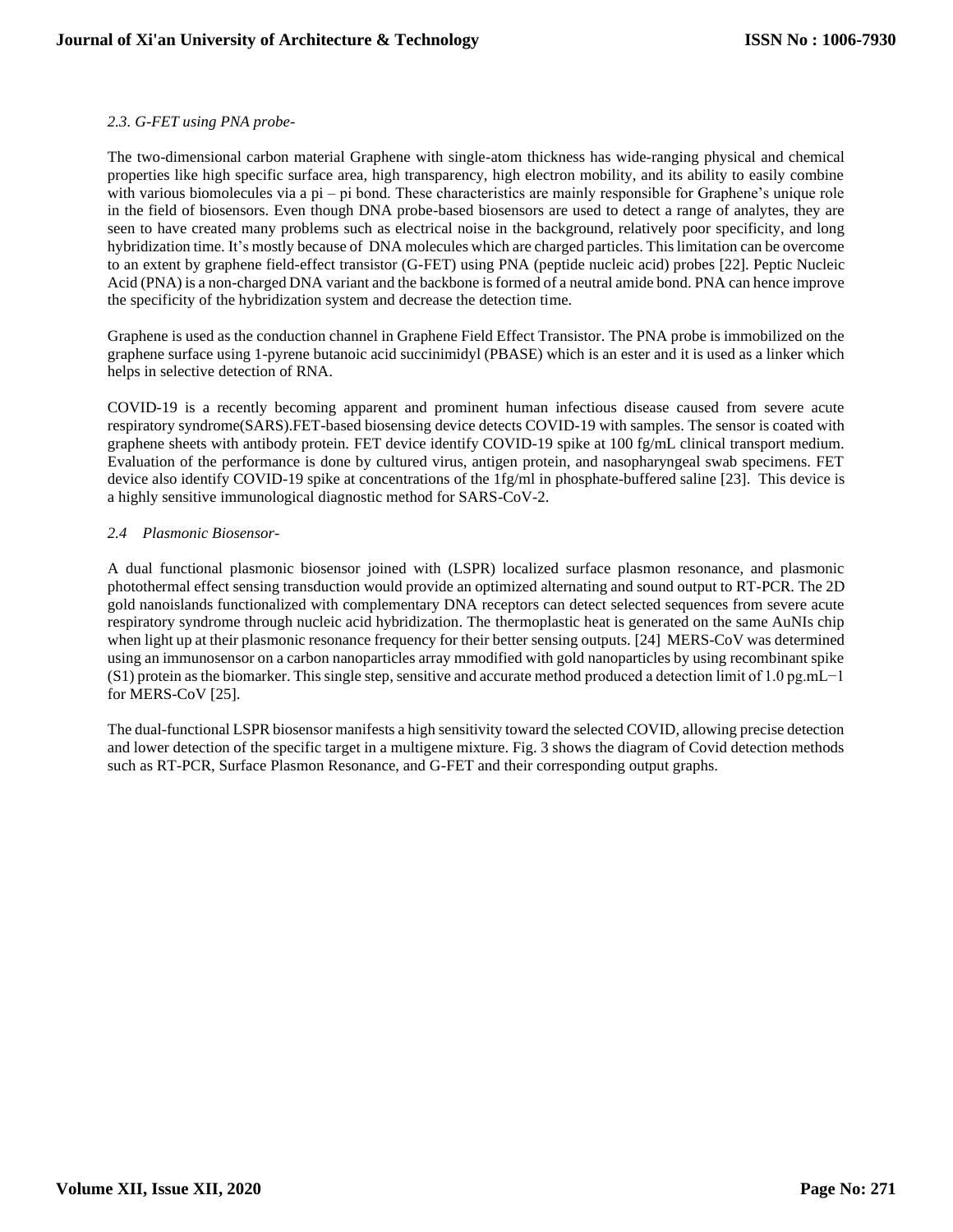## *2.3. G-FET using PNA probe-*

The two-dimensional carbon material Graphene with single-atom thickness has wide-ranging physical and chemical properties like high specific surface area, high transparency, high electron mobility, and its ability to easily combine with various biomolecules via a pi – pi bond. These characteristics are mainly responsible for Graphene's unique role in the field of biosensors. Even though DNA probe-based biosensors are used to detect a range of analytes, they are seen to have created many problems such as electrical noise in the background, relatively poor specificity, and long hybridization time. It's mostly because of DNA molecules which are charged particles. This limitation can be overcome to an extent by graphene field-effect transistor (G-FET) using PNA (peptide nucleic acid) probes [22]. Peptic Nucleic Acid (PNA) is a non-charged DNA variant and the backbone is formed of a neutral amide bond. PNA can hence improve the specificity of the hybridization system and decrease the detection time.

Graphene is used as the conduction channel in Graphene Field Effect Transistor. The PNA probe is immobilized on the graphene surface using 1-pyrene butanoic acid succinimidyl (PBASE) which is an ester and it is used as a linker which helps in selective detection of RNA.

COVID-19 is a recently becoming apparent and prominent human infectious disease caused from severe acute respiratory syndrome(SARS).FET-based biosensing device detects COVID-19 with samples. The sensor is coated with graphene sheets with antibody protein. FET device identify COVID-19 spike at 100 fg/mL clinical transport medium. Evaluation of the performance is done by cultured virus, antigen protein, and nasopharyngeal swab specimens. FET device also identify COVID-19 spike at concentrations of the 1fg/ml in phosphate-buffered saline [23]. This device is a highly sensitive immunological diagnostic method for SARS-CoV-2.

## *2.4 Plasmonic Biosensor-*

A dual functional plasmonic biosensor joined with (LSPR) localized surface plasmon resonance, and plasmonic photothermal effect sensing transduction would provide an optimized alternating and sound output to RT-PCR. The 2D gold nanoislands functionalized with complementary DNA receptors can detect selected sequences from severe acute respiratory syndrome through nucleic acid hybridization. The thermoplastic heat is generated on the same AuNIs chip when light up at their plasmonic resonance frequency for their better sensing outputs. [24] MERS-CoV was determined using an immunosensor on a carbon nanoparticles array mmodified with gold nanoparticles by using recombinant spike (S1) protein as the biomarker. This single step, sensitive and accurate method produced a detection limit of 1.0 pg.mL−1 for MERS-CoV [25].

The dual-functional LSPR biosensor manifests a high sensitivity toward the selected COVID, allowing precise detection and lower detection of the specific target in a multigene mixture. Fig. 3 shows the diagram of Covid detection methods such as RT-PCR, Surface Plasmon Resonance, and G-FET and their corresponding output graphs.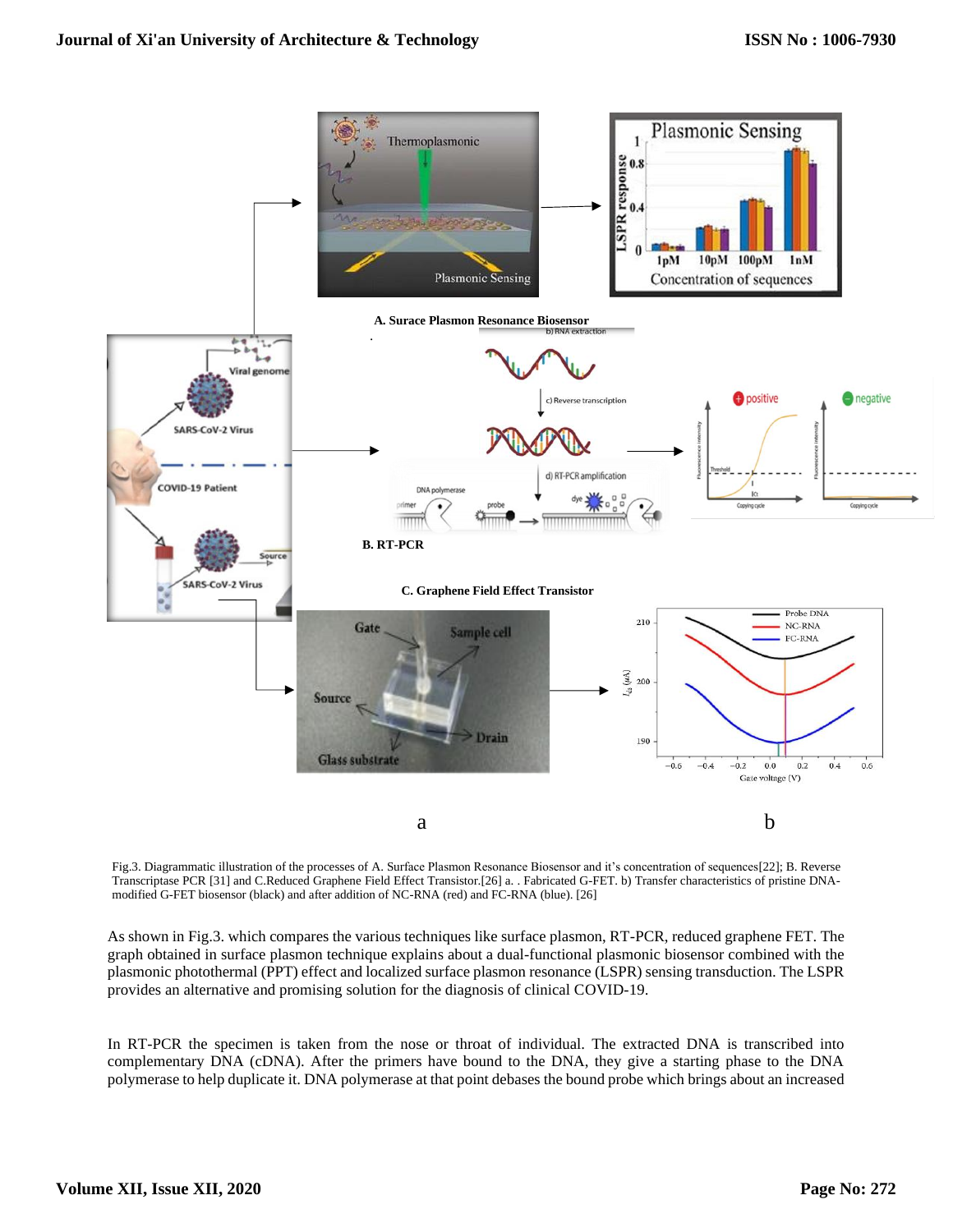

Fig.3. Diagrammatic illustration of the processes of A. Surface Plasmon Resonance Biosensor and it's concentration of sequences[22]; B. Reverse Transcriptase PCR [31] and C.Reduced Graphene Field Effect Transistor.[26] a. . Fabricated G-FET. b) Transfer characteristics of pristine DNAmodified G-FET biosensor (black) and after addition of NC-RNA (red) and FC-RNA (blue). [26]

As shown in Fig.3. which compares the various techniques like surface plasmon, RT-PCR, reduced graphene FET. The graph obtained in surface plasmon technique explains about a dual-functional plasmonic biosensor combined with the plasmonic photothermal (PPT) effect and localized surface plasmon resonance (LSPR) sensing transduction. The LSPR provides an alternative and promising solution for the diagnosis of clinical COVID-19.

In RT-PCR the specimen is taken from the nose or throat of individual. The extracted DNA is transcribed into complementary DNA (cDNA). After the primers have bound to the DNA, they give a starting phase to the DNA polymerase to help duplicate it. DNA polymerase at that point debases the bound probe which brings about an increased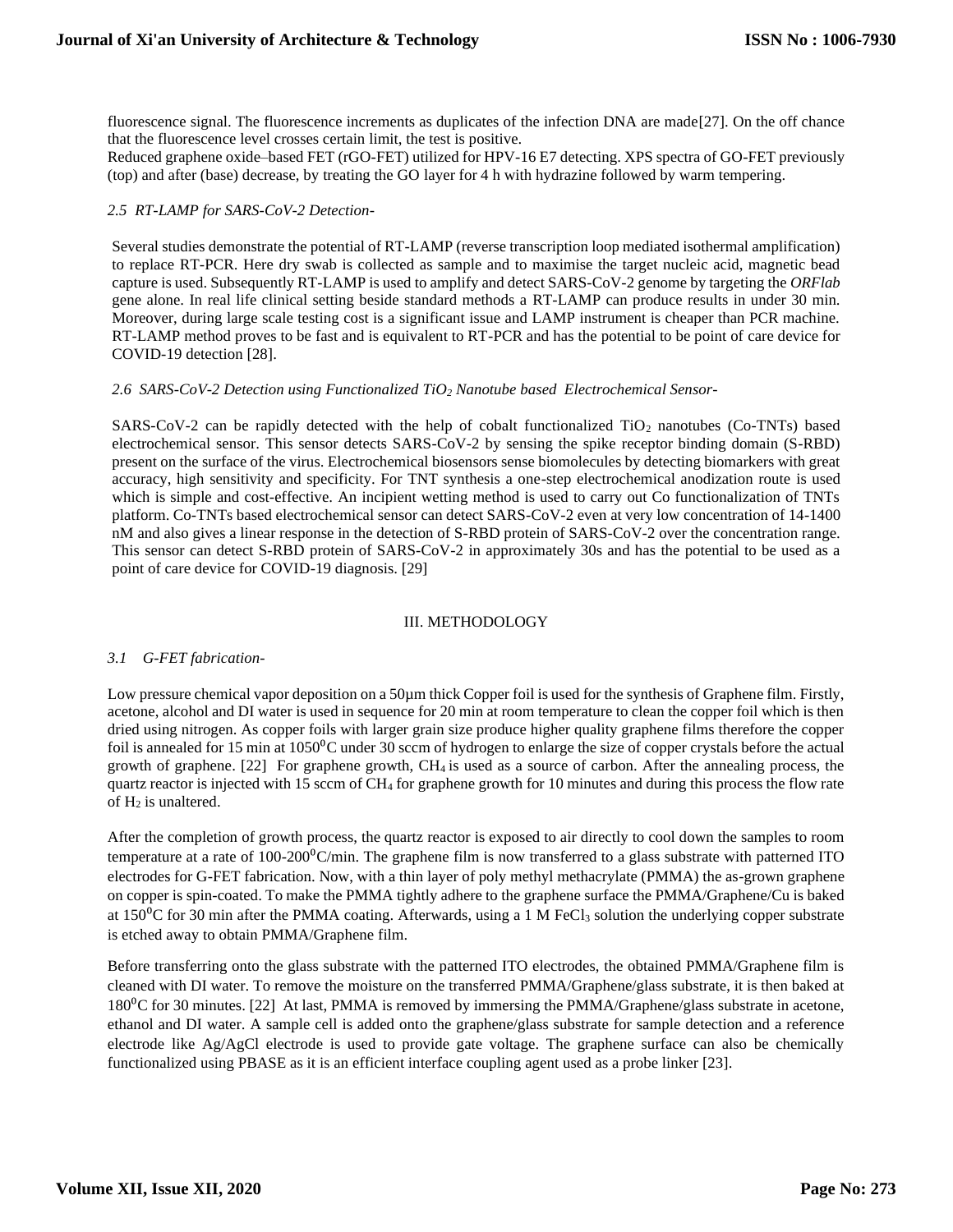fluorescence signal. The fluorescence increments as duplicates of the infection DNA are made[27]. On the off chance that the fluorescence level crosses certain limit, the test is positive.

Reduced graphene oxide–based FET (rGO-FET) utilized for HPV-16 E7 detecting. XPS spectra of GO-FET previously (top) and after (base) decrease, by treating the GO layer for 4 h with hydrazine followed by warm tempering.

## *2.5 RT-LAMP for SARS-CoV-2 Detection-*

Several studies demonstrate the potential of RT-LAMP (reverse transcription loop mediated isothermal amplification) to replace RT-PCR. Here dry swab is collected as sample and to maximise the target nucleic acid, magnetic bead capture is used. Subsequently RT-LAMP is used to amplify and detect SARS-CoV-2 genome by targeting the *ORFlab*  gene alone. In real life clinical setting beside standard methods a RT-LAMP can produce results in under 30 min. Moreover, during large scale testing cost is a significant issue and LAMP instrument is cheaper than PCR machine. RT-LAMP method proves to be fast and is equivalent to RT-PCR and has the potential to be point of care device for COVID-19 detection [28].

## *2.6 SARS-CoV-2 Detection using Functionalized TiO<sup>2</sup> Nanotube based Electrochemical Sensor-*

SARS-CoV-2 can be rapidly detected with the help of cobalt functionalized  $TiO<sub>2</sub>$  nanotubes (Co-TNTs) based electrochemical sensor. This sensor detects SARS-CoV-2 by sensing the spike receptor binding domain (S-RBD) present on the surface of the virus. Electrochemical biosensors sense biomolecules by detecting biomarkers with great accuracy, high sensitivity and specificity. For TNT synthesis a one-step electrochemical anodization route is used which is simple and cost-effective. An incipient wetting method is used to carry out Co functionalization of TNTs platform. Co-TNTs based electrochemical sensor can detect SARS-CoV-2 even at very low concentration of 14-1400 nM and also gives a linear response in the detection of S-RBD protein of SARS-CoV-2 over the concentration range. This sensor can detect S-RBD protein of SARS-CoV-2 in approximately 30s and has the potential to be used as a point of care device for COVID-19 diagnosis. [29]

#### III. METHODOLOGY

# *3.1 G-FET fabrication-*

Low pressure chemical vapor deposition on a 50 $\mu$ m thick Copper foil is used for the synthesis of Graphene film. Firstly, acetone, alcohol and DI water is used in sequence for 20 min at room temperature to clean the copper foil which is then dried using nitrogen. As copper foils with larger grain size produce higher quality graphene films therefore the copper foil is annealed for 15 min at  $1050^{\circ}$ C under 30 sccm of hydrogen to enlarge the size of copper crystals before the actual growth of graphene. [22] For graphene growth, CH4 is used as a source of carbon. After the annealing process, the quartz reactor is injected with 15 sccm of CH<sup>4</sup> for graphene growth for 10 minutes and during this process the flow rate of H<sub>2</sub> is unaltered.

After the completion of growth process, the quartz reactor is exposed to air directly to cool down the samples to room temperature at a rate of  $100-200^{\circ}$ C/min. The graphene film is now transferred to a glass substrate with patterned ITO electrodes for G-FET fabrication. Now, with a thin layer of poly methyl methacrylate (PMMA) the as-grown graphene on copper is spin-coated. To make the PMMA tightly adhere to the graphene surface the PMMA/Graphene/Cu is baked at  $150\textdegree$ C for 30 min after the PMMA coating. Afterwards, using a 1 M FeCl<sub>3</sub> solution the underlying copper substrate is etched away to obtain PMMA/Graphene film.

Before transferring onto the glass substrate with the patterned ITO electrodes, the obtained PMMA/Graphene film is cleaned with DI water. To remove the moisture on the transferred PMMA/Graphene/glass substrate, it is then baked at 180<sup>o</sup>C for 30 minutes. [22] At last, PMMA is removed by immersing the PMMA/Graphene/glass substrate in acetone, ethanol and DI water. A sample cell is added onto the graphene/glass substrate for sample detection and a reference electrode like Ag/AgCl electrode is used to provide gate voltage. The graphene surface can also be chemically functionalized using PBASE as it is an efficient interface coupling agent used as a probe linker [23].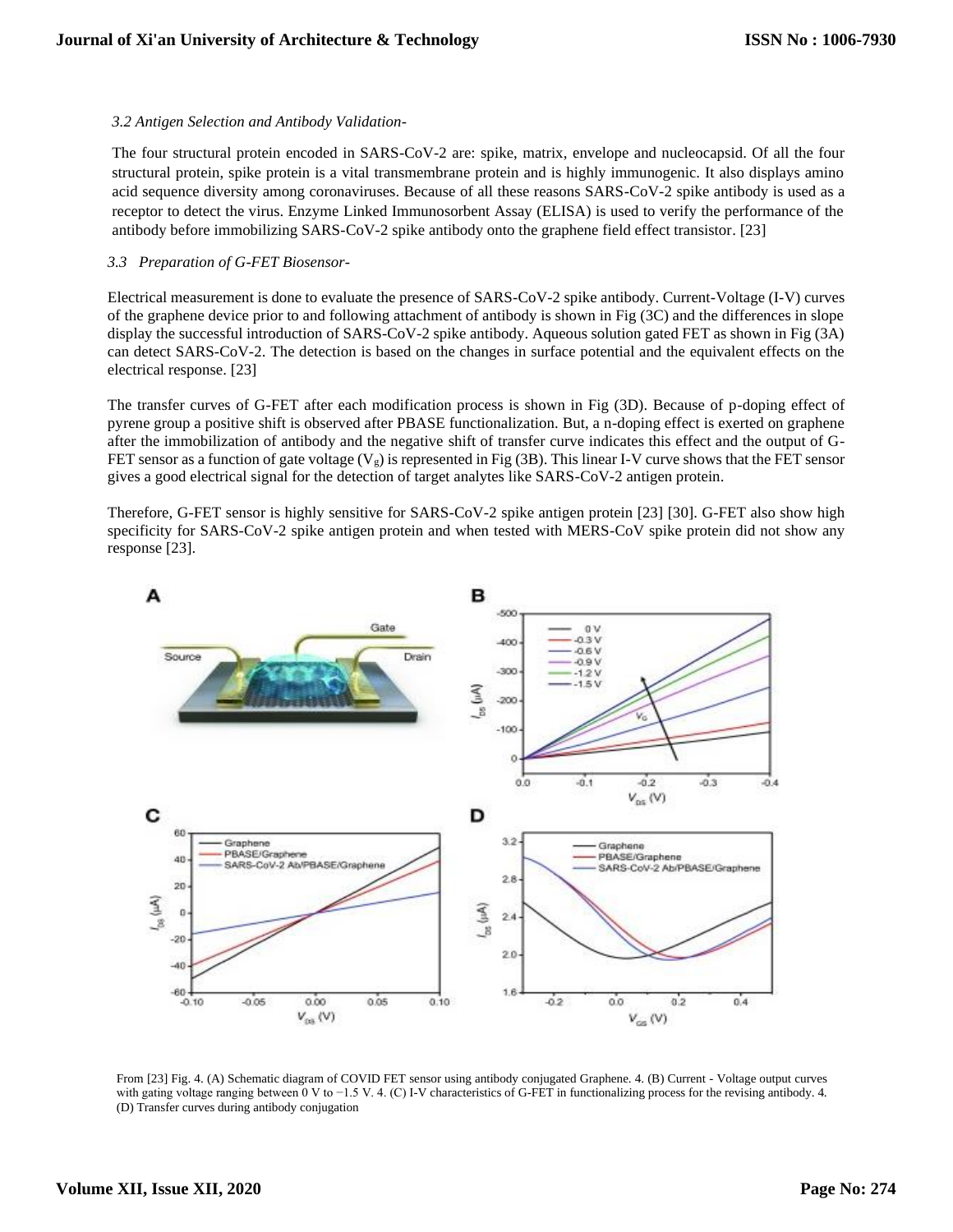## *3.2 Antigen Selection and Antibody Validation-*

The four structural protein encoded in SARS-CoV-2 are: spike, matrix, envelope and nucleocapsid. Of all the four structural protein, spike protein is a vital transmembrane protein and is highly immunogenic. It also displays amino acid sequence diversity among coronaviruses. Because of all these reasons SARS-CoV-2 spike antibody is used as a receptor to detect the virus. Enzyme Linked Immunosorbent Assay (ELISA) is used to verify the performance of the antibody before immobilizing SARS-CoV-2 spike antibody onto the graphene field effect transistor. [23]

## *3.3 Preparation of G-FET Biosensor-*

Electrical measurement is done to evaluate the presence of SARS-CoV-2 spike antibody. Current-Voltage (I-V) curves of the graphene device prior to and following attachment of antibody is shown in Fig (3C) and the differences in slope display the successful introduction of SARS-CoV-2 spike antibody. Aqueous solution gated FET as shown in Fig (3A) can detect SARS-CoV-2. The detection is based on the changes in surface potential and the equivalent effects on the electrical response. [23]

The transfer curves of G-FET after each modification process is shown in Fig (3D). Because of p-doping effect of pyrene group a positive shift is observed after PBASE functionalization. But, a n-doping effect is exerted on graphene after the immobilization of antibody and the negative shift of transfer curve indicates this effect and the output of G-FET sensor as a function of gate voltage  $(V_g)$  is represented in Fig (3B). This linear I-V curve shows that the FET sensor gives a good electrical signal for the detection of target analytes like SARS-CoV-2 antigen protein.

Therefore, G-FET sensor is highly sensitive for SARS-CoV-2 spike antigen protein [23] [30]. G-FET also show high specificity for SARS-CoV-2 spike antigen protein and when tested with MERS-CoV spike protein did not show any response [23].



From [23] Fig. 4. (A) Schematic diagram of COVID FET sensor using antibody conjugated Graphene. 4. (B) Current - Voltage output curves with gating voltage ranging between 0 V to −1.5 V. 4. (C) I-V characteristics of G-FET in functionalizing process for the revising antibody. 4. (D) Transfer curves during antibody conjugation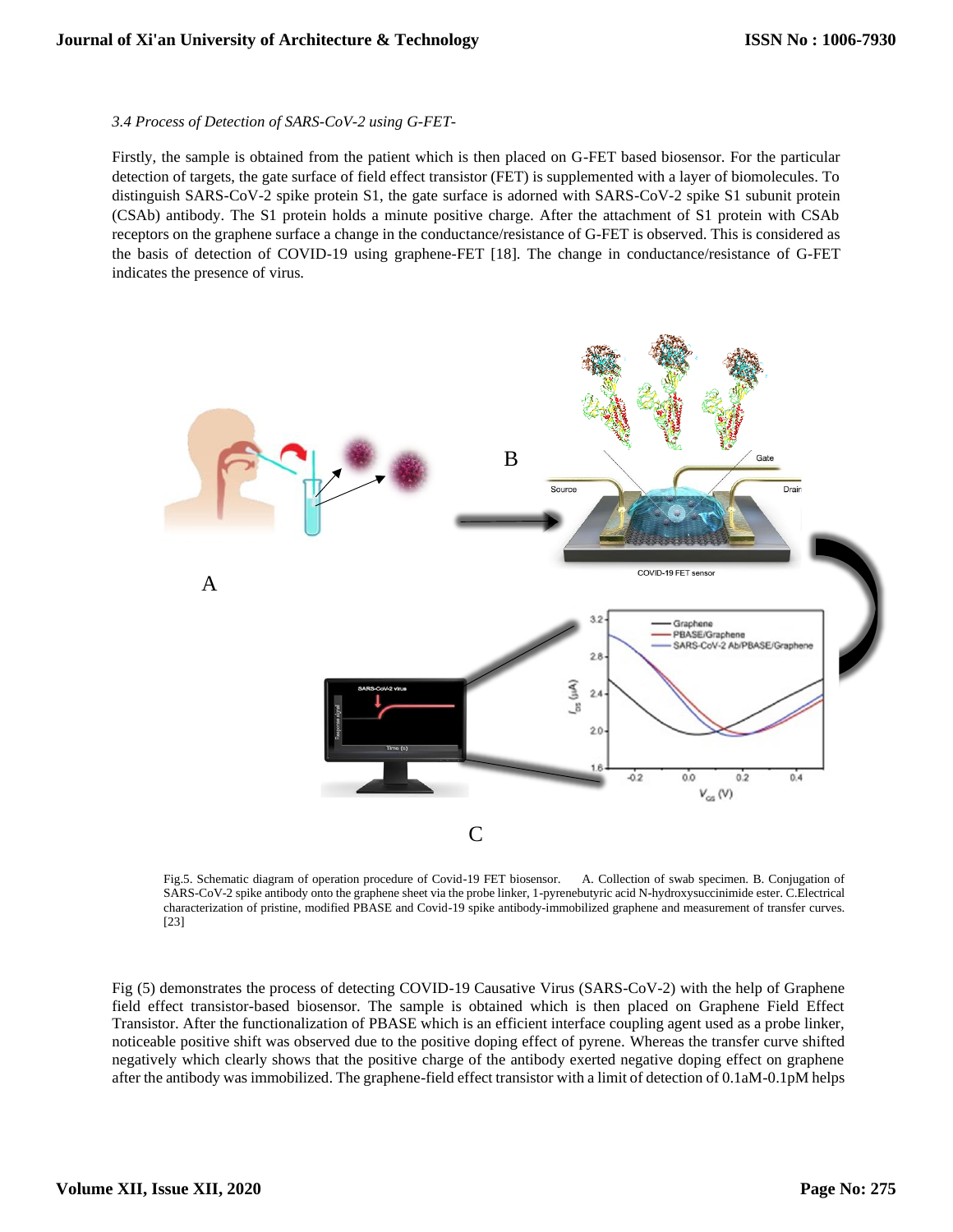#### *3.4 Process of Detection of SARS-CoV-2 using G-FET-*

Firstly, the sample is obtained from the patient which is then placed on G-FET based biosensor. For the particular detection of targets, the gate surface of field effect transistor (FET) is supplemented with a layer of biomolecules. To distinguish SARS-CoV-2 spike protein S1, the gate surface is adorned with SARS-CoV-2 spike S1 subunit protein (CSAb) antibody. The S1 protein holds a minute positive charge. After the attachment of S1 protein with CSAb receptors on the graphene surface a change in the conductance/resistance of G-FET is observed. This is considered as the basis of detection of COVID-19 using graphene-FET [18]. The change in conductance/resistance of G-FET indicates the presence of virus.



Fig.5. Schematic diagram of operation procedure of Covid-19 FET biosensor. A. Collection of swab specimen. B. Conjugation of SARS-CoV-2 spike antibody onto the graphene sheet via the probe linker, 1-pyrenebutyric acid N-hydroxysuccinimide ester. C.Electrical characterization of pristine, modified PBASE and Covid-19 spike antibody-immobilized graphene and measurement of transfer curves. [23]

Fig (5) demonstrates the process of detecting COVID-19 Causative Virus (SARS-CoV-2) with the help of Graphene field effect transistor-based biosensor. The sample is obtained which is then placed on Graphene Field Effect Transistor. After the functionalization of PBASE which is an efficient interface coupling agent used as a probe linker, noticeable positive shift was observed due to the positive doping effect of pyrene. Whereas the transfer curve shifted negatively which clearly shows that the positive charge of the antibody exerted negative doping effect on graphene after the antibody was immobilized. The graphene-field effect transistor with a limit of detection of 0.1aM-0.1pM helps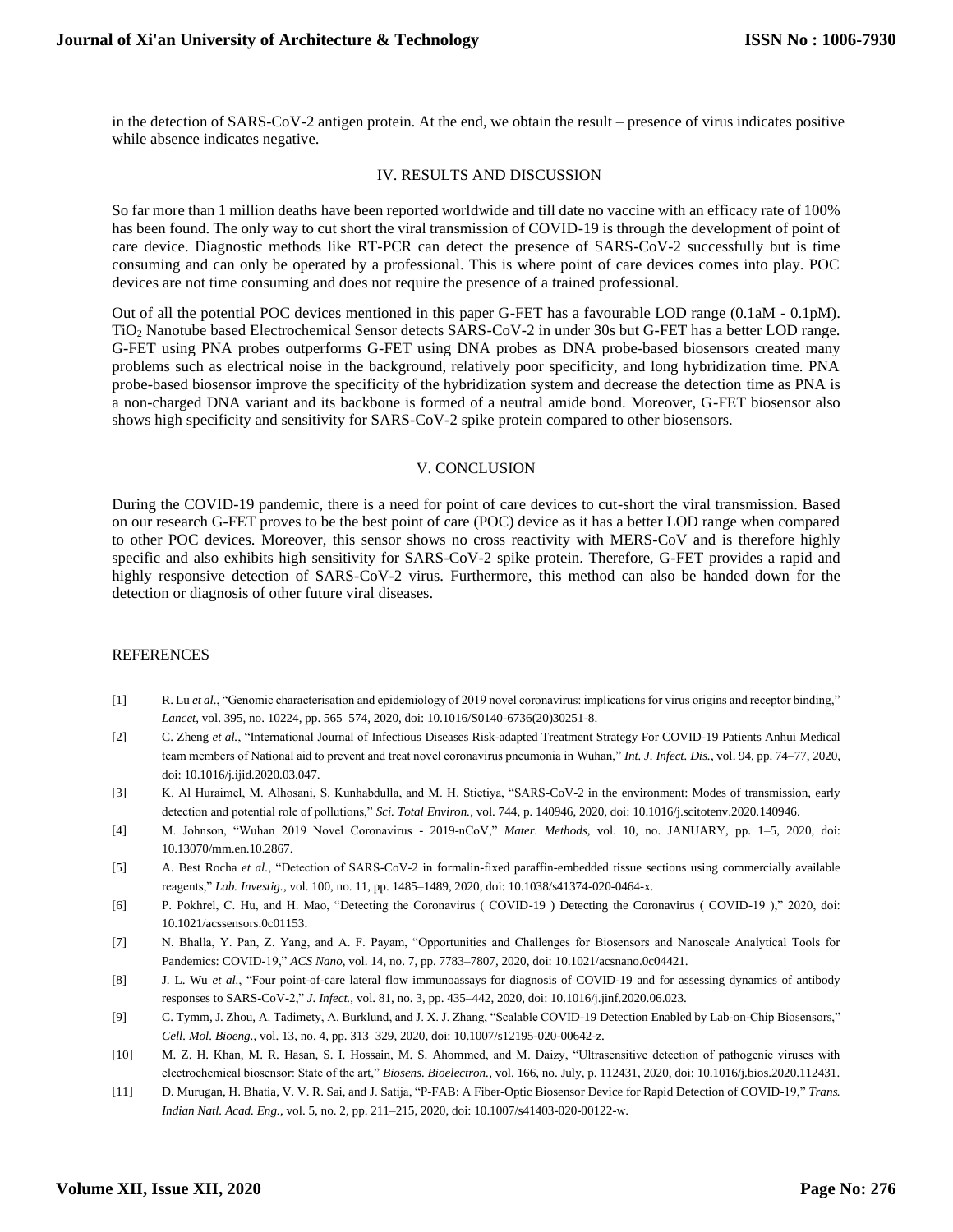in the detection of SARS-CoV-2 antigen protein. At the end, we obtain the result – presence of virus indicates positive while absence indicates negative.

#### IV. RESULTS AND DISCUSSION

So far more than 1 million deaths have been reported worldwide and till date no vaccine with an efficacy rate of 100% has been found. The only way to cut short the viral transmission of COVID-19 is through the development of point of care device. Diagnostic methods like RT-PCR can detect the presence of SARS-CoV-2 successfully but is time consuming and can only be operated by a professional. This is where point of care devices comes into play. POC devices are not time consuming and does not require the presence of a trained professional.

Out of all the potential POC devices mentioned in this paper G-FET has a favourable LOD range (0.1aM - 0.1pM). TiO<sup>2</sup> Nanotube based Electrochemical Sensor detects SARS-CoV-2 in under 30s but G-FET has a better LOD range. G-FET using PNA probes outperforms G-FET using DNA probes as DNA probe-based biosensors created many problems such as electrical noise in the background, relatively poor specificity, and long hybridization time. PNA probe-based biosensor improve the specificity of the hybridization system and decrease the detection time as PNA is a non-charged DNA variant and its backbone is formed of a neutral amide bond. Moreover, G-FET biosensor also shows high specificity and sensitivity for SARS-CoV-2 spike protein compared to other biosensors.

#### V. CONCLUSION

During the COVID-19 pandemic, there is a need for point of care devices to cut-short the viral transmission. Based on our research G-FET proves to be the best point of care (POC) device as it has a better LOD range when compared to other POC devices. Moreover, this sensor shows no cross reactivity with MERS-CoV and is therefore highly specific and also exhibits high sensitivity for SARS-CoV-2 spike protein. Therefore, G-FET provides a rapid and highly responsive detection of SARS-CoV-2 virus. Furthermore, this method can also be handed down for the detection or diagnosis of other future viral diseases.

#### **REFERENCES**

- [1] R. Lu *et al.*, "Genomic characterisation and epidemiology of 2019 novel coronavirus: implications for virus origins and receptor binding," *Lancet*, vol. 395, no. 10224, pp. 565–574, 2020, doi: 10.1016/S0140-6736(20)30251-8.
- [2] C. Zheng *et al.*, "International Journal of Infectious Diseases Risk-adapted Treatment Strategy For COVID-19 Patients Anhui Medical team members of National aid to prevent and treat novel coronavirus pneumonia in Wuhan," *Int. J. Infect. Dis.*, vol. 94, pp. 74–77, 2020, doi: 10.1016/j.ijid.2020.03.047.
- [3] K. Al Huraimel, M. Alhosani, S. Kunhabdulla, and M. H. Stietiya, "SARS-CoV-2 in the environment: Modes of transmission, early detection and potential role of pollutions," *Sci. Total Environ.*, vol. 744, p. 140946, 2020, doi: 10.1016/j.scitotenv.2020.140946.
- [4] M. Johnson, "Wuhan 2019 Novel Coronavirus 2019-nCoV," *Mater. Methods*, vol. 10, no. JANUARY, pp. 1–5, 2020, doi: 10.13070/mm.en.10.2867.
- [5] A. Best Rocha *et al.*, "Detection of SARS-CoV-2 in formalin-fixed paraffin-embedded tissue sections using commercially available reagents," *Lab. Investig.*, vol. 100, no. 11, pp. 1485–1489, 2020, doi: 10.1038/s41374-020-0464-x.
- [6] P. Pokhrel, C. Hu, and H. Mao, "Detecting the Coronavirus ( COVID-19 ) Detecting the Coronavirus ( COVID-19 )," 2020, doi: 10.1021/acssensors.0c01153.
- [7] N. Bhalla, Y. Pan, Z. Yang, and A. F. Payam, "Opportunities and Challenges for Biosensors and Nanoscale Analytical Tools for Pandemics: COVID-19," *ACS Nano*, vol. 14, no. 7, pp. 7783–7807, 2020, doi: 10.1021/acsnano.0c04421.
- [8] J. L. Wu *et al.*, "Four point-of-care lateral flow immunoassays for diagnosis of COVID-19 and for assessing dynamics of antibody responses to SARS-CoV-2," *J. Infect.*, vol. 81, no. 3, pp. 435–442, 2020, doi: 10.1016/j.jinf.2020.06.023.
- [9] C. Tymm, J. Zhou, A. Tadimety, A. Burklund, and J. X. J. Zhang, "Scalable COVID-19 Detection Enabled by Lab-on-Chip Biosensors," *Cell. Mol. Bioeng.*, vol. 13, no. 4, pp. 313–329, 2020, doi: 10.1007/s12195-020-00642-z.
- [10] M. Z. H. Khan, M. R. Hasan, S. I. Hossain, M. S. Ahommed, and M. Daizy, "Ultrasensitive detection of pathogenic viruses with electrochemical biosensor: State of the art," *Biosens. Bioelectron.*, vol. 166, no. July, p. 112431, 2020, doi: 10.1016/j.bios.2020.112431.
- [11] D. Murugan, H. Bhatia, V. V. R. Sai, and J. Satija, "P-FAB: A Fiber-Optic Biosensor Device for Rapid Detection of COVID-19," *Trans. Indian Natl. Acad. Eng.*, vol. 5, no. 2, pp. 211–215, 2020, doi: 10.1007/s41403-020-00122-w.